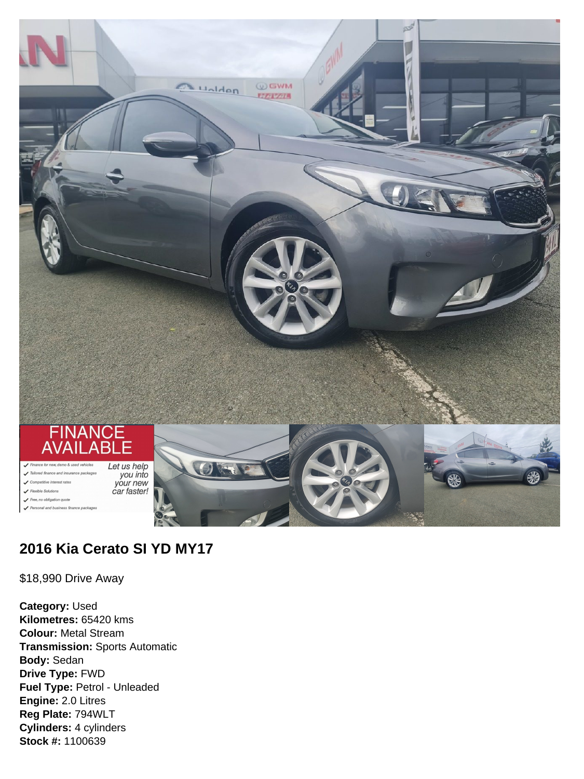

# **2016 Kia Cerato SI YD MY17**

\$18,990 Drive Away

**Category:** Used **Kilometres:** 65420 kms **Colour:** Metal Stream **Transmission:** Sports Automatic **Body:** Sedan **Drive Type:** FWD **Fuel Type:** Petrol - Unleaded **Engine:** 2.0 Litres **Reg Plate:** 794WLT **Cylinders:** 4 cylinders **Stock #:** 1100639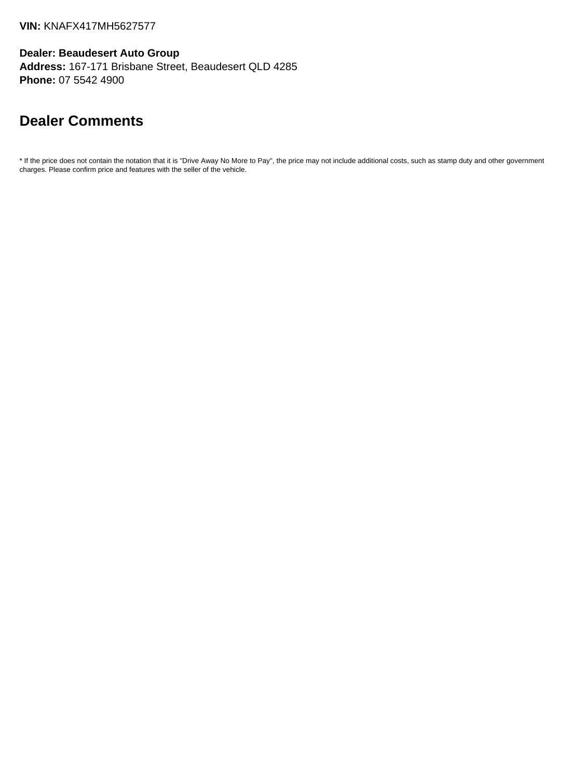**Dealer: Beaudesert Auto Group Address:** 167-171 Brisbane Street, Beaudesert QLD 4285 **Phone:** 07 5542 4900

# **Dealer Comments**

\* If the price does not contain the notation that it is "Drive Away No More to Pay", the price may not include additional costs, such as stamp duty and other government charges. Please confirm price and features with the seller of the vehicle.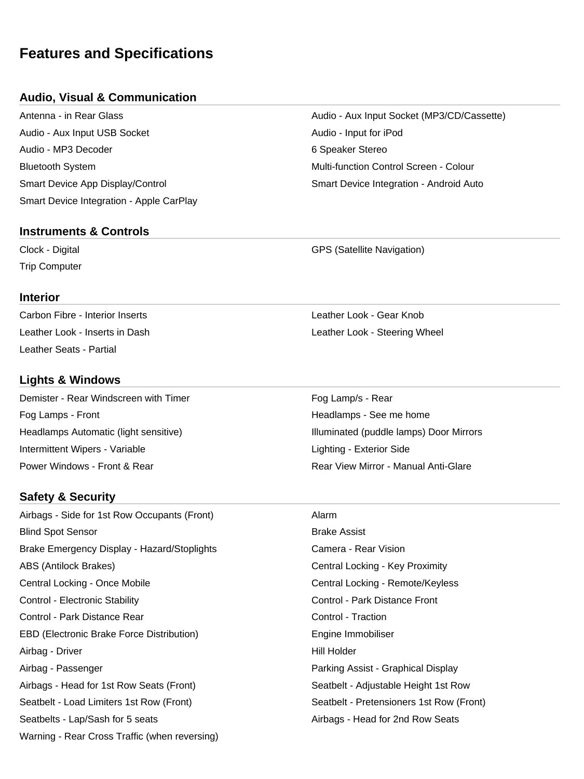# **Features and Specifications**

### **Audio, Visual & Communication**

Audio - Aux Input USB Socket Audio - Input for iPod Audio - MP3 Decoder 6 Speaker Stereo Bluetooth System Multi-function Control Screen - Colour Smart Device App Display/Control Smart Device Integration - Android Auto Smart Device Integration - Apple CarPlay

### **Instruments & Controls**

Trip Computer

### **Interior**

Carbon Fibre - Interior Inserts Leather Look - Gear Knob Leather Seats - Partial

### **Lights & Windows**

Demister - Rear Windscreen with Timer Fog Lamp/s - Rear Fog Lamps - Front **Front** Headlamps - See me home **Headlamps** - See me home Headlamps Automatic (light sensitive) **Illuminated** (puddle lamps) Door Mirrors Intermittent Wipers - Variable Lighting - Exterior Side Lighting - Exterior Side Power Windows - Front & Rear Rear View Mirror - Manual Anti-Glare

### **Safety & Security**

Airbags - Side for 1st Row Occupants (Front) Alarm **Blind Spot Sensor** Brake Assist Brake Emergency Display - Hazard/Stoplights **Camera - Rear Vision** Camera - Rear Vision ABS (Antilock Brakes) The Contral Locking - Key Proximity Central Locking - Once Mobile Central Locking - Remote/Keyless Control - Electronic Stability Control - Park Distance Front Control - Park Distance Rear Control - Traction EBD (Electronic Brake Force Distribution) entitled and the Engine Immobiliser Airbag - Driver **Hill Holder** Airbag - Passenger Parking Assist - Graphical Display Airbags - Head for 1st Row Seats (Front) Seatbelt - Adjustable Height 1st Row Seatbelt - Load Limiters 1st Row (Front) Seatbelt - Pretensioners 1st Row (Front) Seatbelts - Lap/Sash for 5 seats Airbags - Head for 2nd Row Seats Warning - Rear Cross Traffic (when reversing)

Antenna - in Rear Glass Audio - Aux Input Socket (MP3/CD/Cassette)

Clock - Digital GPS (Satellite Navigation)

Leather Look - Inserts in Dash **Leather Look - Steering Wheel** Leather Look - Steering Wheel